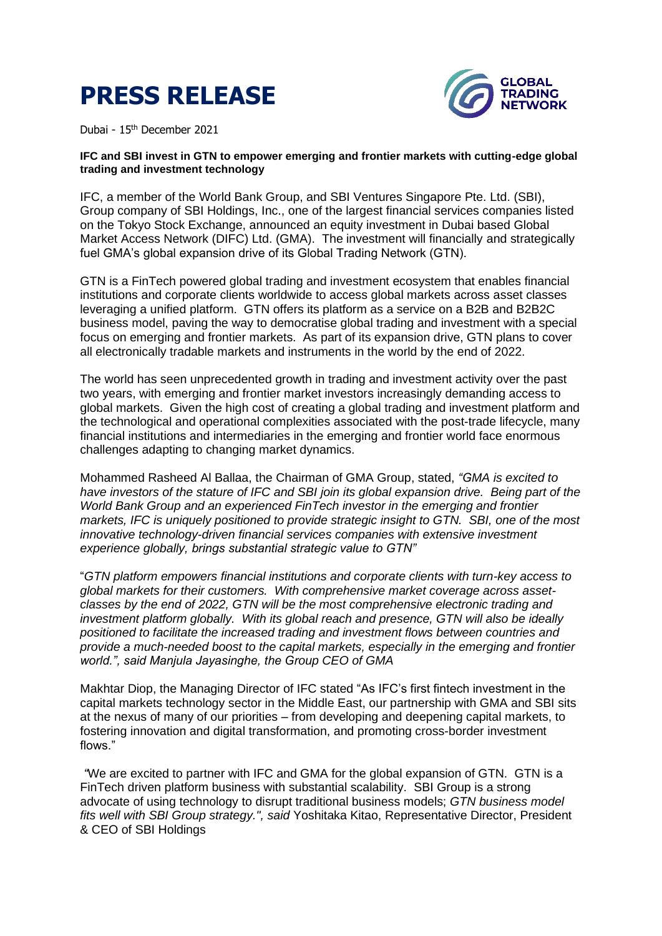



Dubai - 15th December 2021

## **IFC and SBI invest in GTN to empower emerging and frontier markets with cutting-edge global trading and investment technology**

IFC, a member of the World Bank Group, and SBI Ventures Singapore Pte. Ltd. (SBI), Group company of SBI Holdings, Inc., one of the largest financial services companies listed on the Tokyo Stock Exchange, announced an equity investment in Dubai based Global Market Access Network (DIFC) Ltd. (GMA). The investment will financially and strategically fuel GMA's global expansion drive of its Global Trading Network (GTN).

GTN is a FinTech powered global trading and investment ecosystem that enables financial institutions and corporate clients worldwide to access global markets across asset classes leveraging a unified platform. GTN offers its platform as a service on a B2B and B2B2C business model, paving the way to democratise global trading and investment with a special focus on emerging and frontier markets. As part of its expansion drive, GTN plans to cover all electronically tradable markets and instruments in the world by the end of 2022.

The world has seen unprecedented growth in trading and investment activity over the past two years, with emerging and frontier market investors increasingly demanding access to global markets. Given the high cost of creating a global trading and investment platform and the technological and operational complexities associated with the post-trade lifecycle, many financial institutions and intermediaries in the emerging and frontier world face enormous challenges adapting to changing market dynamics.

Mohammed Rasheed Al Ballaa, the Chairman of GMA Group, stated, *"GMA is excited to have investors of the stature of IFC and SBI join its global expansion drive. Being part of the World Bank Group and an experienced FinTech investor in the emerging and frontier markets, IFC is uniquely positioned to provide strategic insight to GTN. SBI, one of the most innovative technology-driven financial services companies with extensive investment experience globally, brings substantial strategic value to GTN"* 

"*GTN platform empowers financial institutions and corporate clients with turn-key access to global markets for their customers. With comprehensive market coverage across assetclasses by the end of 2022, GTN will be the most comprehensive electronic trading and investment platform globally. With its global reach and presence, GTN will also be ideally positioned to facilitate the increased trading and investment flows between countries and provide a much-needed boost to the capital markets, especially in the emerging and frontier world.", said Manjula Jayasinghe, the Group CEO of GMA* 

Makhtar Diop, the Managing Director of IFC stated "As IFC's first fintech investment in the capital markets technology sector in the Middle East, our partnership with GMA and SBI sits at the nexus of many of our priorities – from developing and deepening capital markets, to fostering innovation and digital transformation, and promoting cross-border investment flows."

*"*We are excited to partner with IFC and GMA for the global expansion of GTN. GTN is a FinTech driven platform business with substantial scalability. SBI Group is a strong advocate of using technology to disrupt traditional business models; *GTN business model fits well with SBI Group strategy.", said* Yoshitaka Kitao, Representative Director, President & CEO of SBI Holdings